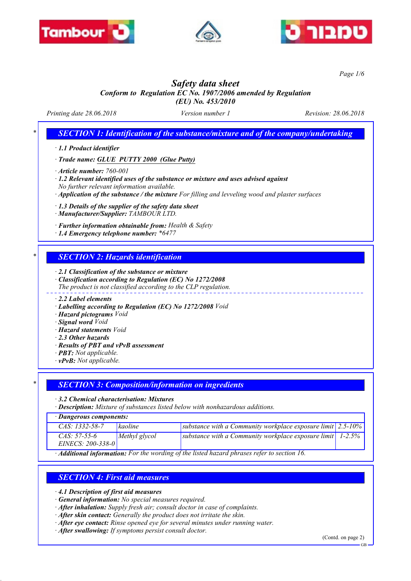





*Page 1/6*

# *Safety data sheet*

### *Conform to Regulation EC No. 1907/2006 amended by Regulation (EU) No. 453/2010*

*Printing date 28.06.2018 Version number 1 Revision: 28.06.2018*

*SECTION 1: Identification of the substance/mixture and of the company/undertaking* 

*· 1.1 Product identifier*

*· Trade name: GLUE PUTTY 2000 (Glue Putty)*

*· Article number: 760-001*

*· 1.2 Relevant identified uses of the substance or mixture and uses advised against No further relevant information available.*

*· Application of the substance / the mixture For filling and levveling wood and plaster surfaces*

*· 1.3 Details of the supplier of the safety data sheet*

*· Manufacturer/Supplier: TAMBOUR LTD.*

*· Further information obtainable from: Health & Safety*

*· 1.4 Emergency telephone number: \*6477*

## *\* SECTION 2: Hazards identification*

*· 2.1 Classification of the substance or mixture*

*· Classification according to Regulation (EC) No 1272/2008*

*The product is not classified according to the CLP regulation.*

*· 2.2 Label elements*

- *· Labelling according to Regulation (EC) No 1272/2008 Void*
- *· Hazard pictograms Void*
- *· Signal word Void*
- *· Hazard statements Void*
- *· 2.3 Other hazards*
- *· Results of PBT and vPvB assessment*
- *· PBT: Not applicable.*
- *· vPvB: Not applicable.*

### *\* SECTION 3: Composition/information on ingredients*

*· 3.2 Chemical characterisation: Mixtures*

*· Description: Mixture of substances listed below with nonhazardous additions.*

| · Dangerous components: |               |                                                                                     |  |  |  |  |
|-------------------------|---------------|-------------------------------------------------------------------------------------|--|--|--|--|
| $CAS: 1332 - 58 - 7$    | kaoline       | substance with a Community workplace exposure limit $\frac{2.5 - 10}{6}$            |  |  |  |  |
| $CAS: 57-55-6$          | Methyl glycol | substance with a Community workplace exposure limit $\vert$ 1-2.5%                  |  |  |  |  |
| EINECS: $200-338-0$     |               |                                                                                     |  |  |  |  |
|                         |               | Additional informations Fourthouse with a fitted boxond physics upfor to costion 16 |  |  |  |  |

*· Additional information: For the wording of the listed hazard phrases refer to section 16.*

## *SECTION 4: First aid measures*

*· 4.1 Description of first aid measures*

- *· General information: No special measures required.*
- *· After inhalation: Supply fresh air; consult doctor in case of complaints.*
- *· After skin contact: Generally the product does not irritate the skin.*
- *· After eye contact: Rinse opened eye for several minutes under running water.*
- *· After swallowing: If symptoms persist consult doctor.*

(Contd. on page 2)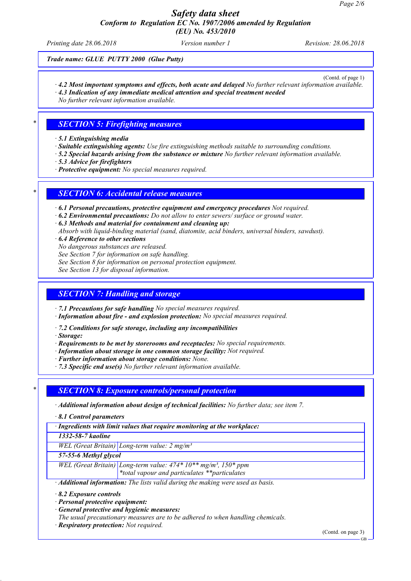*Printing date 28.06.2018 Version number 1 Revision: 28.06.2018*

*Trade name: GLUE PUTTY 2000 (Glue Putty)*

(Contd. of page 1)

- *· 4.2 Most important symptoms and effects, both acute and delayed No further relevant information available.*
- *· 4.3 Indication of any immediate medical attention and special treatment needed*

*No further relevant information available.*

## *\* SECTION 5: Firefighting measures*

*· 5.1 Extinguishing media*

- *· Suitable extinguishing agents: Use fire extinguishing methods suitable to surrounding conditions.*
- *· 5.2 Special hazards arising from the substance or mixture No further relevant information available.*
- *· 5.3 Advice for firefighters*
- *· Protective equipment: No special measures required.*

## *\* SECTION 6: Accidental release measures*

*· 6.1 Personal precautions, protective equipment and emergency procedures Not required.*

- *· 6.2 Environmental precautions: Do not allow to enter sewers/ surface or ground water.*
- *· 6.3 Methods and material for containment and cleaning up:*
- *Absorb with liquid-binding material (sand, diatomite, acid binders, universal binders, sawdust).*
- *· 6.4 Reference to other sections*
- *No dangerous substances are released.*
- *See Section 7 for information on safe handling.*
- *See Section 8 for information on personal protection equipment.*
- *See Section 13 for disposal information.*

## *SECTION 7: Handling and storage*

*· 7.1 Precautions for safe handling No special measures required.*

*· Information about fire - and explosion protection: No special measures required.*

- *· 7.2 Conditions for safe storage, including any incompatibilities*
- *· Storage:*
- *· Requirements to be met by storerooms and receptacles: No special requirements.*
- *· Information about storage in one common storage facility: Not required.*
- *· Further information about storage conditions: None.*
- *· 7.3 Specific end use(s) No further relevant information available.*

### *\* SECTION 8: Exposure controls/personal protection*

- *· Additional information about design of technical facilities: No further data; see item 7.*
- *· 8.1 Control parameters*

*· Ingredients with limit values that require monitoring at the workplace:*

*1332-58-7 kaoline*

*WEL (Great Britain) Long-term value: 2 mg/m³*

*57-55-6 Methyl glycol*

*WEL (Great Britain) Long-term value: 474\* 10\*\* mg/m³, 150\* ppm \*total vapour and particulates \*\*particulates*

*· Additional information: The lists valid during the making were used as basis.*

- *· 8.2 Exposure controls*
- *· Personal protective equipment:*
- *· General protective and hygienic measures:*
- *The usual precautionary measures are to be adhered to when handling chemicals.*
- *· Respiratory protection: Not required.*

(Contd. on page 3)

GB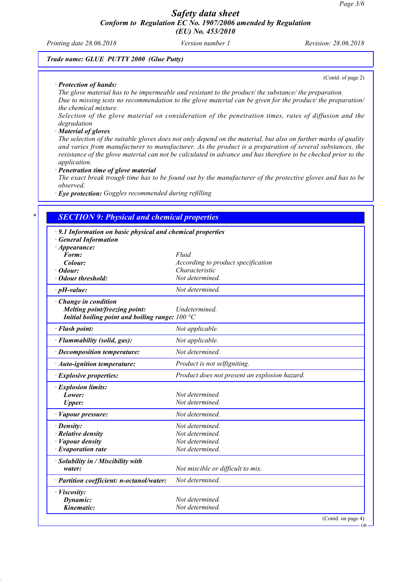*Printing date 28.06.2018 Version number 1 Revision: 28.06.2018*

(Contd. of page 2)

### *Trade name: GLUE PUTTY 2000 (Glue Putty)*

#### *· Protection of hands:*

*The glove material has to be impermeable and resistant to the product/ the substance/ the preparation. Due to missing tests no recommendation to the glove material can be given for the product/ the preparation/ the chemical mixture.*

*Selection of the glove material on consideration of the penetration times, rates of diffusion and the degradation*

#### *· Material of gloves*

*The selection of the suitable gloves does not only depend on the material, but also on further marks of quality and varies from manufacturer to manufacturer. As the product is a preparation of several substances, the resistance of the glove material can not be calculated in advance and has therefore to be checked prior to the application.*

*· Penetration time of glove material*

*The exact break trough time has to be found out by the manufacturer of the protective gloves and has to be observed.*

*· Eye protection: Goggles recommended during refilling*

| 9.1 Information on basic physical and chemical properties |                                               |  |
|-----------------------------------------------------------|-----------------------------------------------|--|
| · General Information                                     |                                               |  |
| $\cdot$ Appearance:                                       |                                               |  |
| Form:                                                     | Fluid                                         |  |
| Colour:                                                   | According to product specification            |  |
| $\cdot$ Odour:                                            | Characteristic                                |  |
| · Odour threshold:                                        | Not determined.                               |  |
| $\cdot$ pH-value:                                         | Not determined.                               |  |
| $\cdot$ Change in condition                               |                                               |  |
| Melting point/freezing point:                             | <b>Undetermined</b>                           |  |
| Initial boiling point and boiling range: $100 °C$         |                                               |  |
| · Flash point:                                            | Not applicable.                               |  |
| · Flammability (solid, gas):                              | Not applicable.                               |  |
| $\cdot$ Decomposition temperature:                        | Not determined.                               |  |
| $\cdot$ Auto-ignition temperature:                        | Product is not selfigniting.                  |  |
| · Explosive properties:                                   | Product does not present an explosion hazard. |  |
| · Explosion limits:                                       |                                               |  |
| Lower:                                                    | Not determined.                               |  |
| <b>Upper:</b>                                             | Not determined.                               |  |
| · Vapour pressure:                                        | Not determined.                               |  |
| · Density:                                                | Not determined.                               |  |
| $\cdot$ Relative density                                  | Not determined.                               |  |
| Vapour density                                            | Not determined.                               |  |
| $\cdot$ Evaporation rate                                  | Not determined.                               |  |
| · Solubility in / Miscibility with                        |                                               |  |
| water:                                                    | Not miscible or difficult to mix.             |  |
| · Partition coefficient: n-octanol/water:                 | Not determined.                               |  |
| · Viscosity:                                              |                                               |  |
| Dynamic:                                                  | Not determined.                               |  |
| Kinematic:                                                | Not determined.                               |  |

GB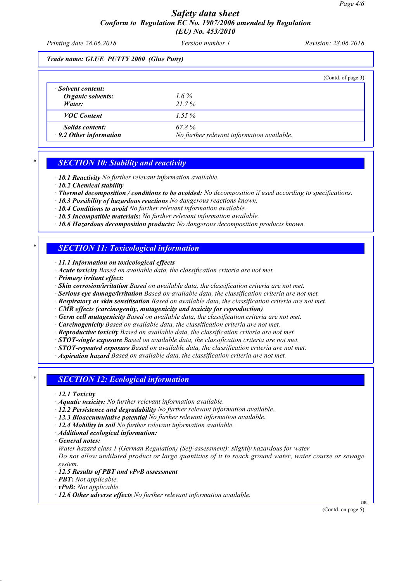*Printing date 28.06.2018 Version number 1 Revision: 28.06.2018*

*Trade name: GLUE PUTTY 2000 (Glue Putty)*

|                                                          |                                                     | (Contd. of page 3) |
|----------------------------------------------------------|-----------------------------------------------------|--------------------|
| · Solvent content:<br><b>Organic solvents:</b><br>Water: | $1.6\%$<br>$21.7\%$                                 |                    |
| <b>VOC</b> Content                                       | $1.55\%$                                            |                    |
| <b>Solids content:</b><br>$\cdot$ 9.2 Other information  | 67.8%<br>No further relevant information available. |                    |

### *\* SECTION 10: Stability and reactivity*

*· 10.1 Reactivity No further relevant information available.*

- *· 10.2 Chemical stability*
- *· Thermal decomposition / conditions to be avoided: No decomposition if used according to specifications.*
- *· 10.3 Possibility of hazardous reactions No dangerous reactions known.*
- *· 10.4 Conditions to avoid No further relevant information available.*
- *· 10.5 Incompatible materials: No further relevant information available.*
- *· 10.6 Hazardous decomposition products: No dangerous decomposition products known.*

## *\* SECTION 11: Toxicological information*

*· 11.1 Information on toxicological effects*

- *· Acute toxicity Based on available data, the classification criteria are not met.*
- *· Primary irritant effect:*
- *· Skin corrosion/irritation Based on available data, the classification criteria are not met.*
- *· Serious eye damage/irritation Based on available data, the classification criteria are not met.*
- *· Respiratory or skin sensitisation Based on available data, the classification criteria are not met.*
- *· CMR effects (carcinogenity, mutagenicity and toxicity for reproduction)*
- *· Germ cell mutagenicity Based on available data, the classification criteria are not met.*
- *· Carcinogenicity Based on available data, the classification criteria are not met.*
- *· Reproductive toxicity Based on available data, the classification criteria are not met.*

*· STOT-single exposure Based on available data, the classification criteria are not met.*

- *· STOT-repeated exposure Based on available data, the classification criteria are not met.*
- *· Aspiration hazard Based on available data, the classification criteria are not met.*

### *\* SECTION 12: Ecological information*

*· 12.1 Toxicity*

- *· Aquatic toxicity: No further relevant information available.*
- *· 12.2 Persistence and degradability No further relevant information available.*
- *· 12.3 Bioaccumulative potential No further relevant information available.*
- *· 12.4 Mobility in soil No further relevant information available.*
- *· Additional ecological information:*
- *· General notes:*
- *Water hazard class 1 (German Regulation) (Self-assessment): slightly hazardous for water Do not allow undiluted product or large quantities of it to reach ground water, water course or sewage system.*
- *· 12.5 Results of PBT and vPvB assessment*
- *· PBT: Not applicable.*
- *· vPvB: Not applicable.*
- *· 12.6 Other adverse effects No further relevant information available.*

(Contd. on page 5)

GB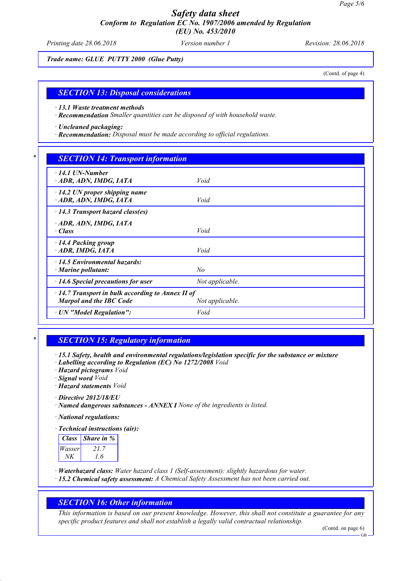*Printing date 28.06.2018 Version number 1 Revision: 28.06.2018*

*Trade name: GLUE PUTTY 2000 (Glue Putty)*

(Contd. of page 4)

### *SECTION 13: Disposal considerations*

*· 13.1 Waste treatment methods*

*· Recommendation Smaller quantities can be disposed of with household waste.*

*· Uncleaned packaging:*

*· Recommendation: Disposal must be made according to official regulations.*

### *\* SECTION 14: Transport information*

| $\cdot$ 14.1 UN-Number<br>ADR, ADN, IMDG, IATA               | Void            |  |
|--------------------------------------------------------------|-----------------|--|
| $\cdot$ 14.2 UN proper shipping name<br>ADR, ADN, IMDG, IATA | Void            |  |
| $\cdot$ 14.3 Transport hazard class(es)                      |                 |  |
| ADR, ADN, IMDG, IATA                                         |                 |  |
| · Class                                                      | Void            |  |
| 14.4 Packing group<br>$\cdot$ ADR, IMDG, IATA                | Void            |  |
| $\cdot$ 14.5 Environmental hazards:                          |                 |  |
| $\cdot$ Marine pollutant:                                    | No              |  |
| $\cdot$ 14.6 Special precautions for user                    | Not applicable. |  |
| $\cdot$ 14.7 Transport in bulk according to Annex II of      |                 |  |
| <b>Marpol and the IBC Code</b>                               | Not applicable. |  |
| · UN "Model Regulation":                                     | Void            |  |

## *\* SECTION 15: Regulatory information*

*· 15.1 Safety, health and environmental regulations/legislation specific for the substance or mixture*

*· Labelling according to Regulation (EC) No 1272/2008 Void*

*· Hazard pictograms Void*

*· Signal word Void*

*· Hazard statements Void*

*· Directive 2012/18/EU*

*· Named dangerous substances - ANNEX I None of the ingredients is listed.*

*· National regulations:*

*· Technical instructions (air):*

| <b>Class</b> | <i>Share in %</i> |
|--------------|-------------------|
| Wasser       | 21.7              |
|              | 16                |

*· Waterhazard class: Water hazard class 1 (Self-assessment): slightly hazardous for water.*

*· 15.2 Chemical safety assessment: A Chemical Safety Assessment has not been carried out.*

## *SECTION 16: Other information*

*This information is based on our present knowledge. However, this shall not constitute a guarantee for any specific product features and shall not establish a legally valid contractual relationship.*

(Contd. on page 6)

GB